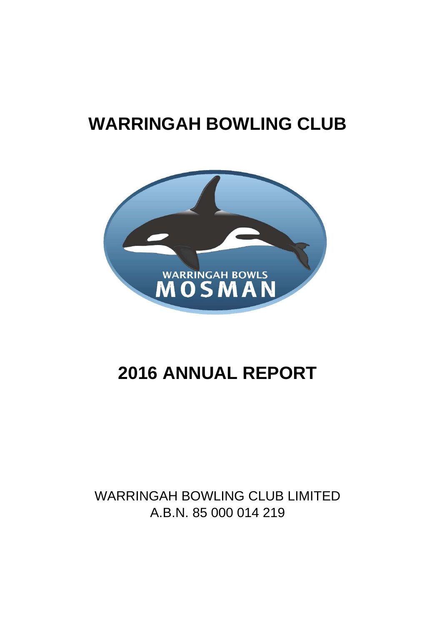# **WARRINGAH BOWLING CLUB**



# **2016 ANNUAL REPORT**

# WARRINGAH BOWLING CLUB LIMITED A.B.N. 85 000 014 219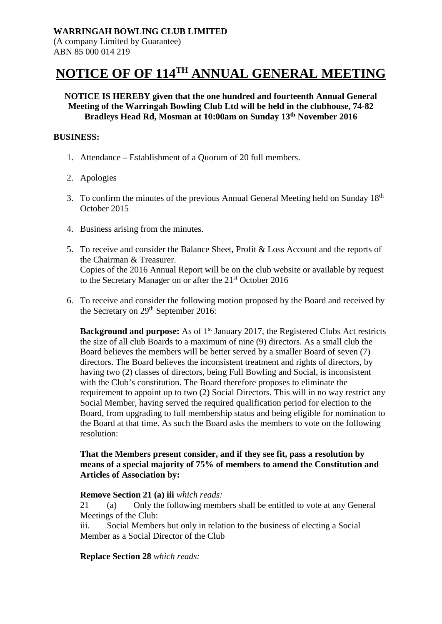# **NOTICE OF OF 114TH ANNUAL GENERAL MEETING**

#### **NOTICE IS HEREBY given that the one hundred and fourteenth Annual General Meeting of the Warringah Bowling Club Ltd will be held in the clubhouse, 74-82 Bradleys Head Rd, Mosman at 10:00am on Sunday 13th November 2016**

#### **BUSINESS:**

- 1. Attendance Establishment of a Quorum of 20 full members.
- 2. Apologies
- 3. To confirm the minutes of the previous Annual General Meeting held on Sunday 18th October 2015
- 4. Business arising from the minutes.
- 5. To receive and consider the Balance Sheet, Profit & Loss Account and the reports of the Chairman & Treasurer. Copies of the 2016 Annual Report will be on the club website or available by request to the Secretary Manager on or after the 21st October 2016
- 6. To receive and consider the following motion proposed by the Board and received by the Secretary on 29<sup>th</sup> September 2016:

**Background and purpose:** As of 1<sup>st</sup> January 2017, the Registered Clubs Act restricts the size of all club Boards to a maximum of nine (9) directors. As a small club the Board believes the members will be better served by a smaller Board of seven (7) directors. The Board believes the inconsistent treatment and rights of directors, by having two (2) classes of directors, being Full Bowling and Social, is inconsistent with the Club's constitution. The Board therefore proposes to eliminate the requirement to appoint up to two (2) Social Directors. This will in no way restrict any Social Member, having served the required qualification period for election to the Board, from upgrading to full membership status and being eligible for nomination to the Board at that time. As such the Board asks the members to vote on the following resolution:

#### **That the Members present consider, and if they see fit, pass a resolution by means of a special majority of 75% of members to amend the Constitution and Articles of Association by:**

#### **Remove Section 21 (a) iii** *which reads:*

21 (a) Only the following members shall be entitled to vote at any General Meetings of the Club:

iii. Social Members but only in relation to the business of electing a Social Member as a Social Director of the Club

#### **Replace Section 28** *which reads:*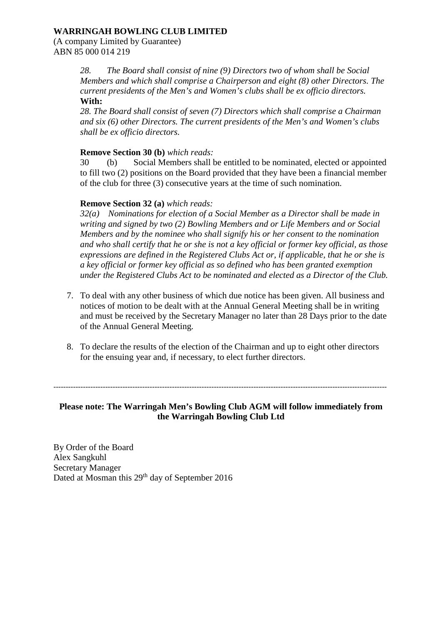#### **WARRINGAH BOWLING CLUB LIMITED**

(A company Limited by Guarantee) ABN 85 000 014 219

> *28. The Board shall consist of nine (9) Directors two of whom shall be Social Members and which shall comprise a Chairperson and eight (8) other Directors. The current presidents of the Men's and Women's clubs shall be ex officio directors.* **With:**

*28. The Board shall consist of seven (7) Directors which shall comprise a Chairman and six (6) other Directors. The current presidents of the Men's and Women's clubs shall be ex officio directors.*

#### **Remove Section 30 (b)** *which reads:*

30 (b) Social Members shall be entitled to be nominated, elected or appointed to fill two (2) positions on the Board provided that they have been a financial member of the club for three (3) consecutive years at the time of such nomination.

#### **Remove Section 32 (a)** *which reads:*

*32(a) Nominations for election of a Social Member as a Director shall be made in writing and signed by two (2) Bowling Members and or Life Members and or Social Members and by the nominee who shall signify his or her consent to the nomination and who shall certify that he or she is not a key official or former key official, as those expressions are defined in the Registered Clubs Act or, if applicable, that he or she is a key official or former key official as so defined who has been granted exemption under the Registered Clubs Act to be nominated and elected as a Director of the Club.*

- 7. To deal with any other business of which due notice has been given. All business and notices of motion to be dealt with at the Annual General Meeting shall be in writing and must be received by the Secretary Manager no later than 28 Days prior to the date of the Annual General Meeting.
- 8. To declare the results of the election of the Chairman and up to eight other directors for the ensuing year and, if necessary, to elect further directors.

---------------------------------------------------------------------------------------------------------------------------------------

#### **Please note: The Warringah Men's Bowling Club AGM will follow immediately from the Warringah Bowling Club Ltd**

By Order of the Board Alex Sangkuhl Secretary Manager Dated at Mosman this 29<sup>th</sup> day of September 2016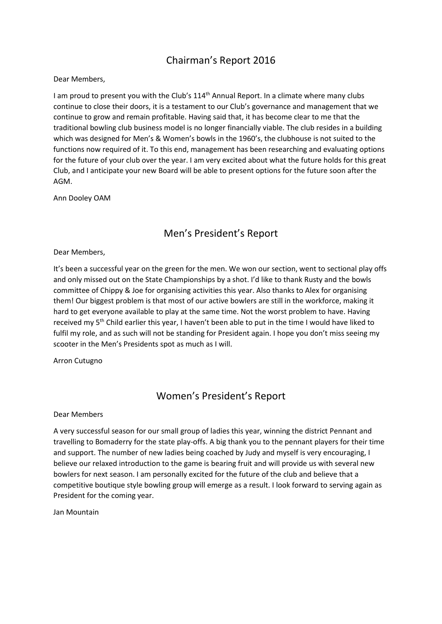# Chairman's Report 2016

Dear Members,

I am proud to present you with the Club's 114<sup>th</sup> Annual Report. In a climate where many clubs continue to close their doors, it is a testament to our Club's governance and management that we continue to grow and remain profitable. Having said that, it has become clear to me that the traditional bowling club business model is no longer financially viable. The club resides in a building which was designed for Men's & Women's bowls in the 1960's, the clubhouse is not suited to the functions now required of it. To this end, management has been researching and evaluating options for the future of your club over the year. I am very excited about what the future holds for this great Club, and I anticipate your new Board will be able to present options for the future soon after the AGM.

Ann Dooley OAM

# Men's President's Report

#### Dear Members,

It's been a successful year on the green for the men. We won our section, went to sectional play offs and only missed out on the State Championships by a shot. I'd like to thank Rusty and the bowls committee of Chippy & Joe for organising activities this year. Also thanks to Alex for organising them! Our biggest problem is that most of our active bowlers are still in the workforce, making it hard to get everyone available to play at the same time. Not the worst problem to have. Having received my 5<sup>th</sup> Child earlier this year, I haven't been able to put in the time I would have liked to fulfil my role, and as such will not be standing for President again. I hope you don't miss seeing my scooter in the Men's Presidents spot as much as I will.

Arron Cutugno

# Women's President's Report

Dear Members

A very successful season for our small group of ladies this year, winning the district Pennant and travelling to Bomaderry for the state play-offs. A big thank you to the pennant players for their time and support. The number of new ladies being coached by Judy and myself is very encouraging, I believe our relaxed introduction to the game is bearing fruit and will provide us with several new bowlers for next season. I am personally excited for the future of the club and believe that a competitive boutique style bowling group will emerge as a result. I look forward to serving again as President for the coming year.

Jan Mountain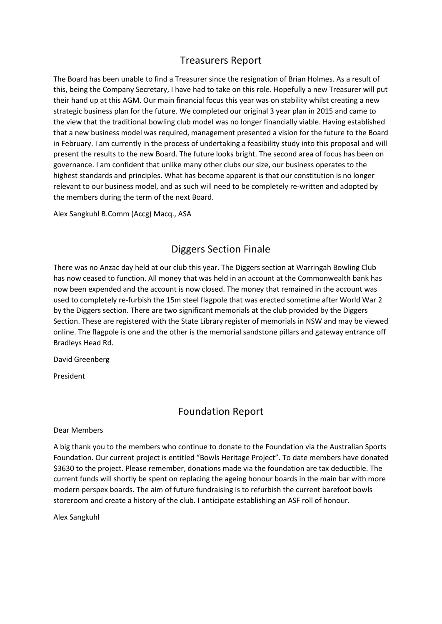# Treasurers Report

The Board has been unable to find a Treasurer since the resignation of Brian Holmes. As a result of this, being the Company Secretary, I have had to take on this role. Hopefully a new Treasurer will put their hand up at this AGM. Our main financial focus this year was on stability whilst creating a new strategic business plan for the future. We completed our original 3 year plan in 2015 and came to the view that the traditional bowling club model was no longer financially viable. Having established that a new business model was required, management presented a vision for the future to the Board in February. I am currently in the process of undertaking a feasibility study into this proposal and will present the results to the new Board. The future looks bright. The second area of focus has been on governance. I am confident that unlike many other clubs our size, our business operates to the highest standards and principles. What has become apparent is that our constitution is no longer relevant to our business model, and as such will need to be completely re-written and adopted by the members during the term of the next Board.

Alex Sangkuhl B.Comm (Accg) Macq., ASA

## Diggers Section Finale

There was no Anzac day held at our club this year. The Diggers section at Warringah Bowling Club has now ceased to function. All money that was held in an account at the Commonwealth bank has now been expended and the account is now closed. The money that remained in the account was used to completely re-furbish the 15m steel flagpole that was erected sometime after World War 2 by the Diggers section. There are two significant memorials at the club provided by the Diggers Section. These are registered with the State Library register of memorials in NSW and may be viewed online. The flagpole is one and the other is the memorial sandstone pillars and gateway entrance off Bradleys Head Rd.

David Greenberg

President

### Foundation Report

Dear Members

A big thank you to the members who continue to donate to the Foundation via the Australian Sports Foundation. Our current project is entitled "Bowls Heritage Project". To date members have donated \$3630 to the project. Please remember, donations made via the foundation are tax deductible. The current funds will shortly be spent on replacing the ageing honour boards in the main bar with more modern perspex boards. The aim of future fundraising is to refurbish the current barefoot bowls storeroom and create a history of the club. I anticipate establishing an ASF roll of honour.

Alex Sangkuhl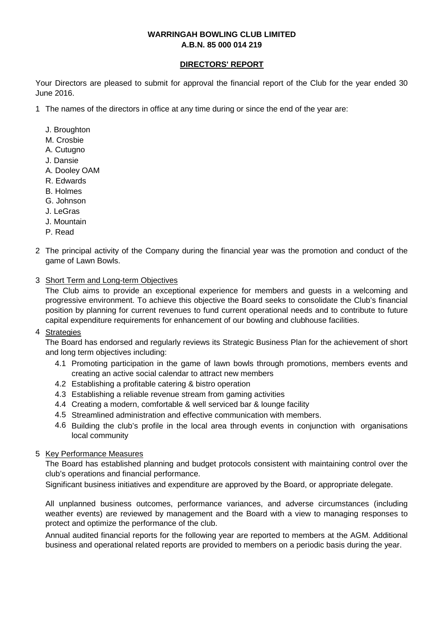#### **DIRECTORS' REPORT**

Your Directors are pleased to submit for approval the financial report of the Club for the year ended 30 June 2016.

1 The names of the directors in office at any time during or since the end of the year are:

- J. Broughton
- M. Crosbie
- A. Cutugno
- J. Dansie
- A. Dooley OAM
- R. Edwards
- B. Holmes
- G. Johnson
- J. LeGras
- J. Mountain
- P. Read
- 2 The principal activity of the Company during the financial year was the promotion and conduct of the game of Lawn Bowls.
- 3 Short Term and Long-term Objectives

The Club aims to provide an exceptional experience for members and guests in a welcoming and progressive environment. To achieve this objective the Board seeks to consolidate the Club's financial position by planning for current revenues to fund current operational needs and to contribute to future capital expenditure requirements for enhancement of our bowling and clubhouse facilities.

4 <u>Strategies</u>

The Board has endorsed and regularly reviews its Strategic Business Plan for the achievement of short and long term objectives including:

- 4.1 Promoting participation in the game of lawn bowls through promotions, members events and creating an active social calendar to attract new members
- 4.2 Establishing a profitable catering & bistro operation
- 4.3 Establishing a reliable revenue stream from gaming activities
- 4.4 Creating a modern, comfortable & well serviced bar & lounge facility
- 4.5 Streamlined administration and effective communication with members.
- 4.6 Building the club's profile in the local area through events in conjunction with organisations local community

#### 5 Key Performance Measures

The Board has established planning and budget protocols consistent with maintaining control over the club's operations and financial performance.

Significant business initiatives and expenditure are approved by the Board, or appropriate delegate.

All unplanned business outcomes, performance variances, and adverse circumstances (including weather events) are reviewed by management and the Board with a view to managing responses to protect and optimize the performance of the club.

Annual audited financial reports for the following year are reported to members at the AGM. Additional business and operational related reports are provided to members on a periodic basis during the year.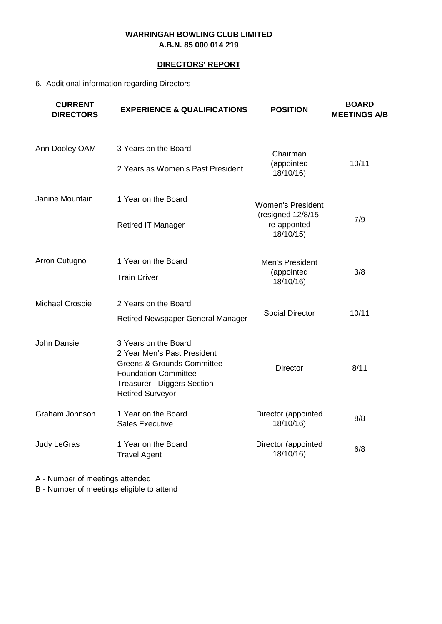#### **DIRECTORS' REPORT**

### 6. Additional information regarding Directors

| <b>CURRENT</b><br><b>DIRECTORS</b> | <b>EXPERIENCE &amp; QUALIFICATIONS</b>                                                                                                                                                       | <b>POSITION</b>                                | <b>BOARD</b><br><b>MEETINGS A/B</b> |
|------------------------------------|----------------------------------------------------------------------------------------------------------------------------------------------------------------------------------------------|------------------------------------------------|-------------------------------------|
| Ann Dooley OAM                     | 3 Years on the Board                                                                                                                                                                         | Chairman                                       |                                     |
|                                    | 2 Years as Women's Past President                                                                                                                                                            | (appointed<br>18/10/16)                        | 10/11                               |
| Janine Mountain                    | 1 Year on the Board                                                                                                                                                                          | <b>Women's President</b><br>(resigned 12/8/15, |                                     |
|                                    | <b>Retired IT Manager</b>                                                                                                                                                                    | re-apponted<br>18/10/15)                       | 7/9                                 |
| Arron Cutugno                      | 1 Year on the Board                                                                                                                                                                          | Men's President<br>(appointed                  | 3/8                                 |
|                                    | <b>Train Driver</b>                                                                                                                                                                          | 18/10/16)                                      |                                     |
| <b>Michael Crosbie</b>             | 2 Years on the Board                                                                                                                                                                         | <b>Social Director</b>                         | 10/11                               |
|                                    | <b>Retired Newspaper General Manager</b>                                                                                                                                                     |                                                |                                     |
| John Dansie                        | 3 Years on the Board<br>2 Year Men's Past President<br><b>Greens &amp; Grounds Committee</b><br><b>Foundation Committee</b><br><b>Treasurer - Diggers Section</b><br><b>Retired Surveyor</b> | <b>Director</b>                                | 8/11                                |
| Graham Johnson                     | 1 Year on the Board<br><b>Sales Executive</b>                                                                                                                                                | Director (appointed<br>18/10/16)               | 8/8                                 |
| Judy LeGras                        | 1 Year on the Board<br><b>Travel Agent</b>                                                                                                                                                   | Director (appointed<br>18/10/16)               | 6/8                                 |

A - Number of meetings attended

B - Number of meetings eligible to attend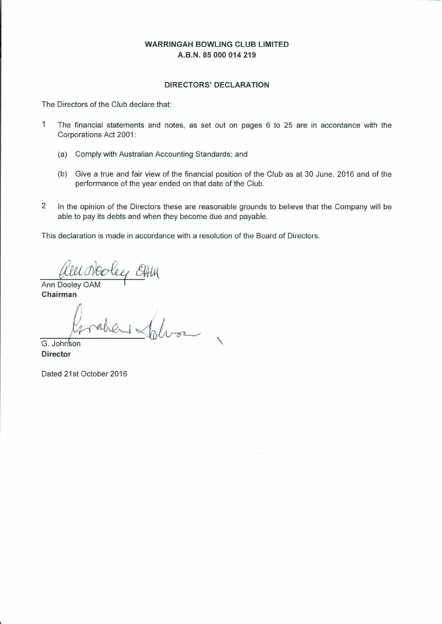#### **DIRECTORS' DECLARATION**

The Directors of the Club declare that:

- $\overline{1}$ The financial statements and notes, as set out on pages 6 to 25 are in accordance with the Corporations Act 2001:
	- (a) Comply with Australian Accounting Standards; and
	- (b) Give a true and fair view of the financial position of the Club as at 30 June, 2016 and of the performance of the year ended on that date of the Club.
- $\overline{2}$ In the opinion of the Directors these are reasonable grounds to believe that the Company will be able to pay its debts and when they become due and payable.

This declaration is made in accordance with a resolution of the Board of Directors.

GALU

Ann Dooley OAM Chairman

G. Johnson **Director** 

Dated 21st October 2016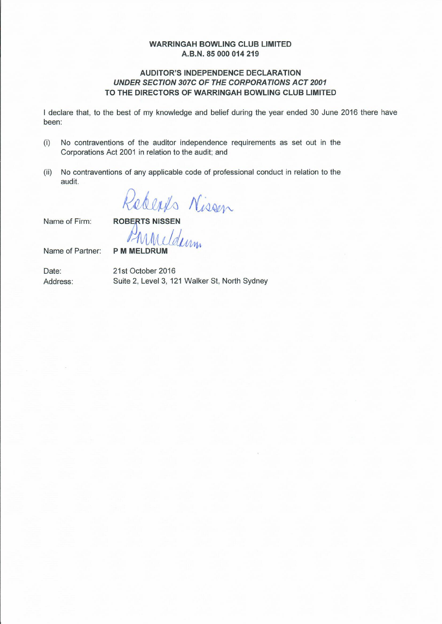#### **AUDITOR'S INDEPENDENCE DECLARATION UNDER SECTION 307C OF THE CORPORATIONS ACT 2001** TO THE DIRECTORS OF WARRINGAH BOWLING CLUB LIMITED

I declare that, to the best of my knowledge and belief during the year ended 30 June 2016 there have been:

- $(i)$ No contraventions of the auditor independence requirements as set out in the Corporations Act 2001 in relation to the audit; and
- (ii) No contraventions of any applicable code of professional conduct in relation to the audit.

Redents Nissen

Name of Firm:

Name of Partner:

**P M MELDRUM** 

21st October 2016 Suite 2, Level 3, 121 Walker St, North Sydney

Date: Address: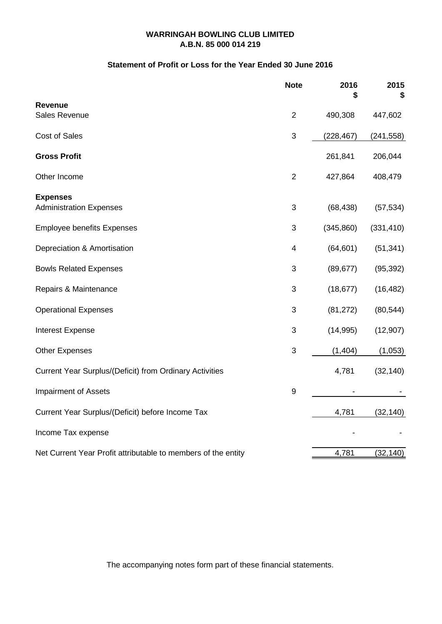#### **Statement of Profit or Loss for the Year Ended 30 June 2016**

|                                                               | <b>Note</b>      | 2016<br>S  | 2015<br>S  |
|---------------------------------------------------------------|------------------|------------|------------|
| <b>Revenue</b>                                                |                  |            |            |
| <b>Sales Revenue</b>                                          | $\overline{2}$   | 490,308    | 447,602    |
| Cost of Sales                                                 | 3                | (228, 467) | (241, 558) |
| <b>Gross Profit</b>                                           |                  | 261,841    | 206,044    |
| Other Income                                                  | $\overline{2}$   | 427,864    | 408,479    |
| <b>Expenses</b>                                               |                  |            |            |
| <b>Administration Expenses</b>                                | 3                | (68, 438)  | (57, 534)  |
| <b>Employee benefits Expenses</b>                             | 3                | (345, 860) | (331, 410) |
| Depreciation & Amortisation                                   | 4                | (64, 601)  | (51, 341)  |
| <b>Bowls Related Expenses</b>                                 | 3                | (89, 677)  | (95, 392)  |
| Repairs & Maintenance                                         | 3                | (18, 677)  | (16, 482)  |
| <b>Operational Expenses</b>                                   | 3                | (81, 272)  | (80, 544)  |
| <b>Interest Expense</b>                                       | 3                | (14, 995)  | (12, 907)  |
| <b>Other Expenses</b>                                         | 3                | (1,404)    | (1,053)    |
| Current Year Surplus/(Deficit) from Ordinary Activities       |                  | 4,781      | (32, 140)  |
| <b>Impairment of Assets</b>                                   | $\boldsymbol{9}$ |            |            |
| Current Year Surplus/(Deficit) before Income Tax              |                  | 4,781      | (32, 140)  |
| Income Tax expense                                            |                  |            |            |
| Net Current Year Profit attributable to members of the entity |                  | 4,781      | (32, 140)  |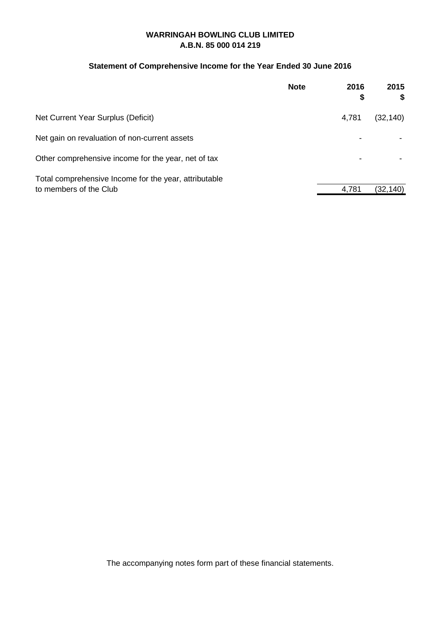#### **Statement of Comprehensive Income for the Year Ended 30 June 2016**

| <b>Note</b>                                           | 2016<br>\$ | 2015<br>\$ |
|-------------------------------------------------------|------------|------------|
| Net Current Year Surplus (Deficit)                    | 4,781      | (32, 140)  |
| Net gain on revaluation of non-current assets         |            |            |
| Other comprehensive income for the year, net of tax   |            |            |
| Total comprehensive Income for the year, attributable |            |            |
| to members of the Club                                | 4,781      | (32, 140)  |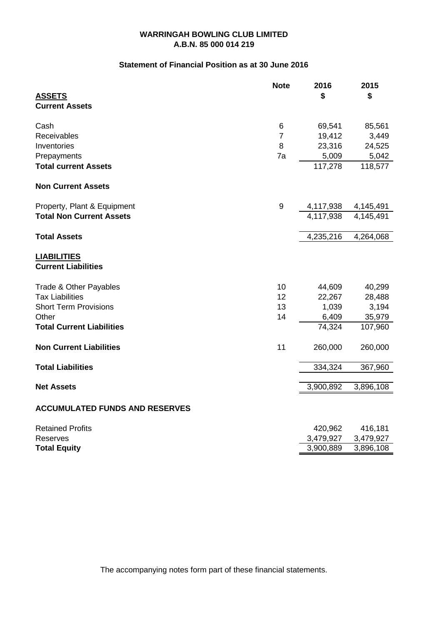#### **Statement of Financial Position as at 30 June 2016**

|                                                  | <b>Note</b>      | 2016      | 2015      |
|--------------------------------------------------|------------------|-----------|-----------|
| <b>ASSETS</b><br><b>Current Assets</b>           |                  | \$        | \$        |
|                                                  |                  |           |           |
| Cash                                             | 6                | 69,541    | 85,561    |
| Receivables                                      | $\overline{7}$   | 19,412    | 3,449     |
| Inventories                                      | 8                | 23,316    | 24,525    |
| Prepayments                                      | 7a               | 5,009     | 5,042     |
| <b>Total current Assets</b>                      |                  | 117,278   | 118,577   |
| <b>Non Current Assets</b>                        |                  |           |           |
| Property, Plant & Equipment                      | $\boldsymbol{9}$ | 4,117,938 | 4,145,491 |
| <b>Total Non Current Assets</b>                  |                  | 4,117,938 | 4,145,491 |
| <b>Total Assets</b>                              |                  | 4,235,216 | 4,264,068 |
| <b>LIABILITIES</b><br><b>Current Liabilities</b> |                  |           |           |
| Trade & Other Payables                           | 10               | 44,609    | 40,299    |
| <b>Tax Liabilities</b>                           | 12               | 22,267    | 28,488    |
| <b>Short Term Provisions</b>                     | 13               | 1,039     | 3,194     |
| Other                                            | 14               | 6,409     | 35,979    |
| <b>Total Current Liabilities</b>                 |                  | 74,324    | 107,960   |
| <b>Non Current Liabilities</b>                   | 11               | 260,000   | 260,000   |
| <b>Total Liabilities</b>                         |                  | 334,324   | 367,960   |
| <b>Net Assets</b>                                |                  | 3,900,892 | 3,896,108 |
| <b>ACCUMULATED FUNDS AND RESERVES</b>            |                  |           |           |
| <b>Retained Profits</b>                          |                  | 420,962   | 416,181   |
| Reserves                                         |                  | 3,479,927 | 3,479,927 |
| <b>Total Equity</b>                              |                  | 3,900,889 | 3,896,108 |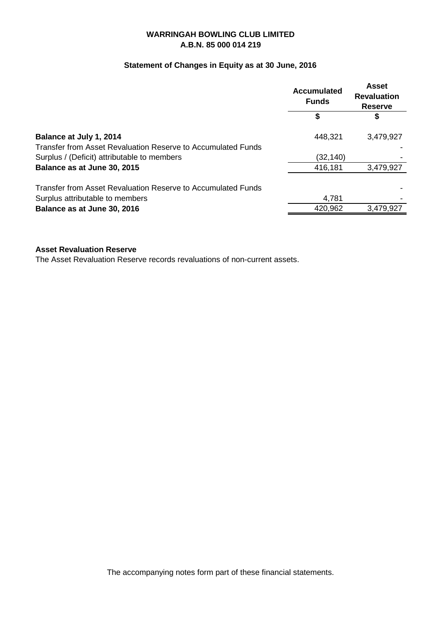#### **Statement of Changes in Equity as at 30 June, 2016**

|                                                                                         | <b>Accumulated</b><br><b>Funds</b> | <b>Asset</b><br><b>Revaluation</b><br><b>Reserve</b> |
|-----------------------------------------------------------------------------------------|------------------------------------|------------------------------------------------------|
|                                                                                         |                                    | \$                                                   |
| Balance at July 1, 2014<br>Transfer from Asset Revaluation Reserve to Accumulated Funds | 448,321                            | 3,479,927                                            |
| Surplus / (Deficit) attributable to members                                             | (32, 140)                          |                                                      |
| Balance as at June 30, 2015                                                             | 416,181                            | 3,479,927                                            |
| Transfer from Asset Revaluation Reserve to Accumulated Funds                            |                                    |                                                      |
| Surplus attributable to members                                                         | 4,781                              |                                                      |
| Balance as at June 30, 2016                                                             | 420,962                            | 3,479,927                                            |

#### **Asset Revaluation Reserve**

The Asset Revaluation Reserve records revaluations of non-current assets.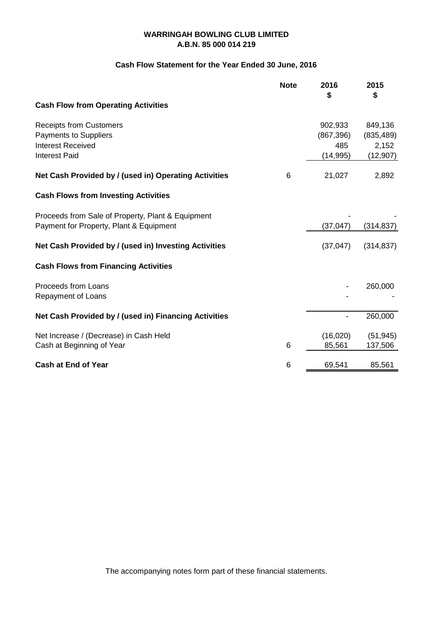#### **Cash Flow Statement for the Year Ended 30 June, 2016**

|                                                                                                             | <b>Note</b> | 2016<br>\$                                | 2015<br>\$                                  |
|-------------------------------------------------------------------------------------------------------------|-------------|-------------------------------------------|---------------------------------------------|
| <b>Cash Flow from Operating Activities</b>                                                                  |             |                                           |                                             |
| <b>Receipts from Customers</b><br>Payments to Suppliers<br><b>Interest Received</b><br><b>Interest Paid</b> |             | 902,933<br>(867, 396)<br>485<br>(14, 995) | 849,136<br>(835, 489)<br>2,152<br>(12, 907) |
| Net Cash Provided by / (used in) Operating Activities                                                       | 6           | 21,027                                    | 2,892                                       |
| <b>Cash Flows from Investing Activities</b>                                                                 |             |                                           |                                             |
| Proceeds from Sale of Property, Plant & Equipment<br>Payment for Property, Plant & Equipment                |             | (37, 047)                                 | (314, 837)                                  |
| Net Cash Provided by / (used in) Investing Activities                                                       |             | (37, 047)                                 | (314, 837)                                  |
| <b>Cash Flows from Financing Activities</b>                                                                 |             |                                           |                                             |
| Proceeds from Loans<br>Repayment of Loans                                                                   |             |                                           | 260,000                                     |
| Net Cash Provided by / (used in) Financing Activities                                                       |             |                                           | 260,000                                     |
| Net Increase / (Decrease) in Cash Held<br>Cash at Beginning of Year                                         | 6           | (16,020)<br>85,561                        | (51, 945)<br>137,506                        |
| <b>Cash at End of Year</b>                                                                                  | 6           | 69,541                                    | 85,561                                      |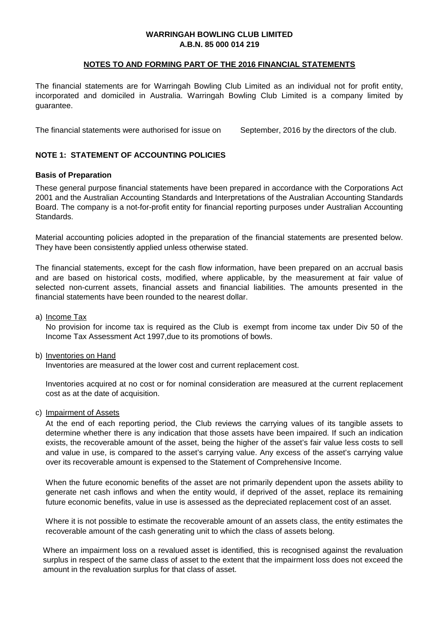#### **NOTES TO AND FORMING PART OF THE 2016 FINANCIAL STATEMENTS**

The financial statements are for Warringah Bowling Club Limited as an individual not for profit entity, incorporated and domiciled in Australia. Warringah Bowling Club Limited is a company limited by guarantee.

The financial statements were authorised for issue on September, 2016 by the directors of the club.

#### **NOTE 1: STATEMENT OF ACCOUNTING POLICIES**

#### **Basis of Preparation**

These general purpose financial statements have been prepared in accordance with the Corporations Act 2001 and the Australian Accounting Standards and Interpretations of the Australian Accounting Standards Board. The company is a not-for-profit entity for financial reporting purposes under Australian Accounting Standards.

Material accounting policies adopted in the preparation of the financial statements are presented below. They have been consistently applied unless otherwise stated.

The financial statements, except for the cash flow information, have been prepared on an accrual basis and are based on historical costs, modified, where applicable, by the measurement at fair value of selected non-current assets, financial assets and financial liabilities. The amounts presented in the financial statements have been rounded to the nearest dollar.

a) <u>Income Tax</u>

No provision for income tax is required as the Club is exempt from income tax under Div 50 of the Income Tax Assessment Act 1997,due to its promotions of bowls.

#### b) <u>Inventories on Hand</u>

Inventories are measured at the lower cost and current replacement cost.

Inventories acquired at no cost or for nominal consideration are measured at the current replacement cost as at the date of acquisition.

c) <u>Impairment of Assets</u>

At the end of each reporting period, the Club reviews the carrying values of its tangible assets to determine whether there is any indication that those assets have been impaired. If such an indication exists, the recoverable amount of the asset, being the higher of the asset's fair value less costs to sell and value in use, is compared to the asset's carrying value. Any excess of the asset's carrying value over its recoverable amount is expensed to the Statement of Comprehensive Income.

When the future economic benefits of the asset are not primarily dependent upon the assets ability to generate net cash inflows and when the entity would, if deprived of the asset, replace its remaining future economic benefits, value in use is assessed as the depreciated replacement cost of an asset.

Where it is not possible to estimate the recoverable amount of an assets class, the entity estimates the recoverable amount of the cash generating unit to which the class of assets belong.

Where an impairment loss on a revalued asset is identified, this is recognised against the revaluation surplus in respect of the same class of asset to the extent that the impairment loss does not exceed the amount in the revaluation surplus for that class of asset.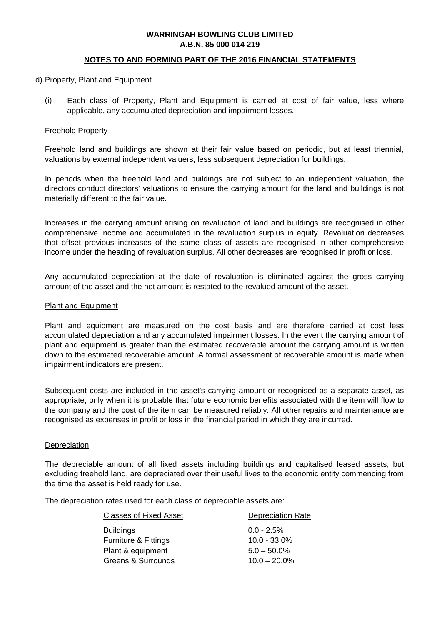#### **NOTES TO AND FORMING PART OF THE 2016 FINANCIAL STATEMENTS**

#### d) Property, Plant and Equipment

(i) Each class of Property, Plant and Equipment is carried at cost of fair value, less where applicable, any accumulated depreciation and impairment losses.

#### Freehold Property

Freehold land and buildings are shown at their fair value based on periodic, but at least triennial, valuations by external independent valuers, less subsequent depreciation for buildings.

In periods when the freehold land and buildings are not subject to an independent valuation, the directors conduct directors' valuations to ensure the carrying amount for the land and buildings is not materially different to the fair value.

Increases in the carrying amount arising on revaluation of land and buildings are recognised in other comprehensive income and accumulated in the revaluation surplus in equity. Revaluation decreases that offset previous increases of the same class of assets are recognised in other comprehensive income under the heading of revaluation surplus. All other decreases are recognised in profit or loss.

Any accumulated depreciation at the date of revaluation is eliminated against the gross carrying amount of the asset and the net amount is restated to the revalued amount of the asset.

#### Plant and Equipment

Plant and equipment are measured on the cost basis and are therefore carried at cost less accumulated depreciation and any accumulated impairment losses. In the event the carrying amount of plant and equipment is greater than the estimated recoverable amount the carrying amount is written down to the estimated recoverable amount. A formal assessment of recoverable amount is made when impairment indicators are present.

Subsequent costs are included in the asset's carrying amount or recognised as a separate asset, as appropriate, only when it is probable that future economic benefits associated with the item will flow to the company and the cost of the item can be measured reliably. All other repairs and maintenance are recognised as expenses in profit or loss in the financial period in which they are incurred.

#### **Depreciation**

The depreciable amount of all fixed assets including buildings and capitalised leased assets, but excluding freehold land, are depreciated over their useful lives to the economic entity commencing from the time the asset is held ready for use.

The depreciation rates used for each class of depreciable assets are:

| <b>Classes of Fixed Asset</b>   | <b>Depreciation Rate</b> |
|---------------------------------|--------------------------|
| <b>Buildings</b>                | $0.0 - 2.5\%$            |
| <b>Furniture &amp; Fittings</b> | $10.0 - 33.0\%$          |
| Plant & equipment               | $5.0 - 50.0\%$           |
| Greens & Surrounds              | $10.0 - 20.0\%$          |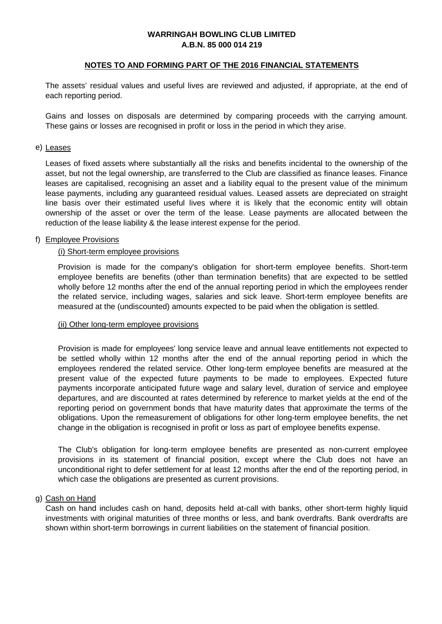#### **NOTES TO AND FORMING PART OF THE 2016 FINANCIAL STATEMENTS**

The assets' residual values and useful lives are reviewed and adjusted, if appropriate, at the end of each reporting period.

Gains and losses on disposals are determined by comparing proceeds with the carrying amount. These gains or losses are recognised in profit or loss in the period in which they arise.

#### e) <u>Leases</u>

Leases of fixed assets where substantially all the risks and benefits incidental to the ownership of the asset, but not the legal ownership, are transferred to the Club are classified as finance leases. Finance leases are capitalised, recognising an asset and a liability equal to the present value of the minimum lease payments, including any guaranteed residual values. Leased assets are depreciated on straight line basis over their estimated useful lives where it is likely that the economic entity will obtain ownership of the asset or over the term of the lease. Lease payments are allocated between the reduction of the lease liability & the lease interest expense for the period.

#### f) Employee Provisions

#### (i) Short-term employee provisions

Provision is made for the company's obligation for short-term employee benefits. Short-term employee benefits are benefits (other than termination benefits) that are expected to be settled wholly before 12 months after the end of the annual reporting period in which the employees render the related service, including wages, salaries and sick leave. Short-term employee benefits are measured at the (undiscounted) amounts expected to be paid when the obligation is settled.

#### (ii) Other long-term employee provisions

Provision is made for employees' long service leave and annual leave entitlements not expected to be settled wholly within 12 months after the end of the annual reporting period in which the employees rendered the related service. Other long-term employee benefits are measured at the present value of the expected future payments to be made to employees. Expected future payments incorporate anticipated future wage and salary level, duration of service and employee departures, and are discounted at rates determined by reference to market yields at the end of the reporting period on government bonds that have maturity dates that approximate the terms of the obligations. Upon the remeasurement of obligations for other long-term employee benefits, the net change in the obligation is recognised in profit or loss as part of employee benefits expense.

The Club's obligation for long-term employee benefits are presented as non-current employee provisions in its statement of financial position, except where the Club does not have an unconditional right to defer settlement for at least 12 months after the end of the reporting period, in which case the obligations are presented as current provisions.

#### g) <u>Cash on Hand</u>

Cash on hand includes cash on hand, deposits held at-call with banks, other short-term highly liquid investments with original maturities of three months or less, and bank overdrafts. Bank overdrafts are shown within short-term borrowings in current liabilities on the statement of financial position.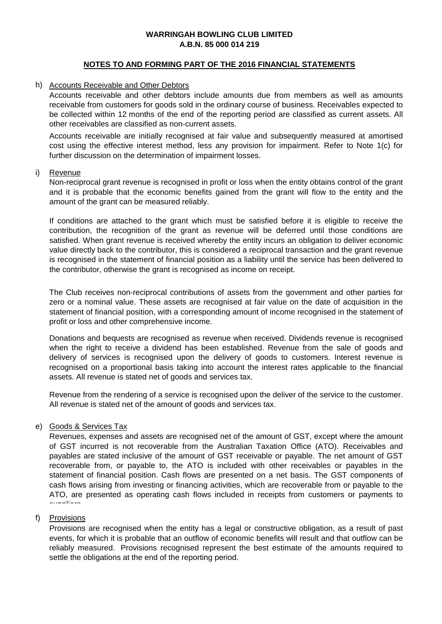#### **NOTES TO AND FORMING PART OF THE 2016 FINANCIAL STATEMENTS**

#### h) Accounts Receivable and Other Debtors

Accounts receivable and other debtors include amounts due from members as well as amounts receivable from customers for goods sold in the ordinary course of business. Receivables expected to be collected within 12 months of the end of the reporting period are classified as current assets. All other receivables are classified as non-current assets.

Accounts receivable are initially recognised at fair value and subsequently measured at amortised cost using the effective interest method, less any provision for impairment. Refer to Note 1(c) for further discussion on the determination of impairment losses.

#### i) <u>Revenue</u>

Non-reciprocal grant revenue is recognised in profit or loss when the entity obtains control of the grant and it is probable that the economic benefits gained from the grant will flow to the entity and the amount of the grant can be measured reliably.

If conditions are attached to the grant which must be satisfied before it is eligible to receive the contribution, the recognition of the grant as revenue will be deferred until those conditions are satisfied. When grant revenue is received whereby the entity incurs an obligation to deliver economic value directly back to the contributor, this is considered a reciprocal transaction and the grant revenue is recognised in the statement of financial position as a liability until the service has been delivered to the contributor, otherwise the grant is recognised as income on receipt.

The Club receives non-reciprocal contributions of assets from the government and other parties for zero or a nominal value. These assets are recognised at fair value on the date of acquisition in the statement of financial position, with a corresponding amount of income recognised in the statement of profit or loss and other comprehensive income.

Donations and bequests are recognised as revenue when received. Dividends revenue is recognised when the right to receive a dividend has been established. Revenue from the sale of goods and delivery of services is recognised upon the delivery of goods to customers. Interest revenue is recognised on a proportional basis taking into account the interest rates applicable to the financial assets. All revenue is stated net of goods and services tax.

Revenue from the rendering of a service is recognised upon the deliver of the service to the customer. All revenue is stated net of the amount of goods and services tax.

#### e) <u>Goods & Services Tax</u>

Revenues, expenses and assets are recognised net of the amount of GST, except where the amount of GST incurred is not recoverable from the Australian Taxation Office (ATO). Receivables and payables are stated inclusive of the amount of GST receivable or payable. The net amount of GST recoverable from, or payable to, the ATO is included with other receivables or payables in the statement of financial position. Cash flows are presented on a net basis. The GST components of cash flows arising from investing or financing activities, which are recoverable from or payable to the ATO, are presented as operating cash flows included in receipts from customers or payments to suppliers in the color

#### f) <u>Provisions</u>

Provisions are recognised when the entity has a legal or constructive obligation, as a result of past events, for which it is probable that an outflow of economic benefits will result and that outflow can be reliably measured. Provisions recognised represent the best estimate of the amounts required to settle the obligations at the end of the reporting period.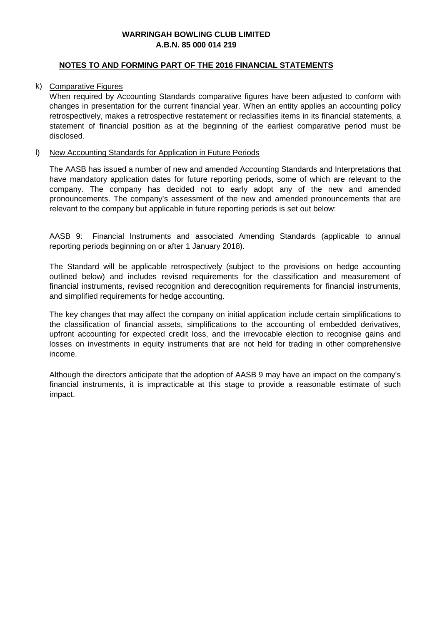#### **NOTES TO AND FORMING PART OF THE 2016 FINANCIAL STATEMENTS**

#### k) Comparative Figures

When required by Accounting Standards comparative figures have been adjusted to conform with changes in presentation for the current financial year. When an entity applies an accounting policy retrospectively, makes a retrospective restatement or reclassifies items in its financial statements, a statement of financial position as at the beginning of the earliest comparative period must be disclosed.

#### l) New Accounting Standards for Application in Future Periods

The AASB has issued a number of new and amended Accounting Standards and Interpretations that have mandatory application dates for future reporting periods, some of which are relevant to the company. The company has decided not to early adopt any of the new and amended pronouncements. The company's assessment of the new and amended pronouncements that are relevant to the company but applicable in future reporting periods is set out below:

AASB 9: Financial Instruments and associated Amending Standards (applicable to annual reporting periods beginning on or after 1 January 2018).

The Standard will be applicable retrospectively (subject to the provisions on hedge accounting outlined below) and includes revised requirements for the classification and measurement of financial instruments, revised recognition and derecognition requirements for financial instruments, and simplified requirements for hedge accounting.

The key changes that may affect the company on initial application include certain simplifications to the classification of financial assets, simplifications to the accounting of embedded derivatives, upfront accounting for expected credit loss, and the irrevocable election to recognise gains and losses on investments in equity instruments that are not held for trading in other comprehensive income.

Although the directors anticipate that the adoption of AASB 9 may have an impact on the company's financial instruments, it is impracticable at this stage to provide a reasonable estimate of such impact.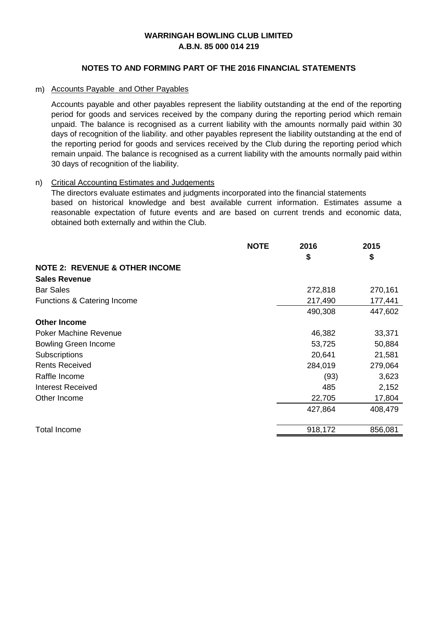#### **NOTES TO AND FORMING PART OF THE 2016 FINANCIAL STATEMENTS**

#### m) Accounts Payable and Other Payables

Accounts payable and other payables represent the liability outstanding at the end of the reporting period for goods and services received by the company during the reporting period which remain unpaid. The balance is recognised as a current liability with the amounts normally paid within 30 days of recognition of the liability. and other payables represent the liability outstanding at the end of the reporting period for goods and services received by the Club during the reporting period which remain unpaid. The balance is recognised as a current liability with the amounts normally paid within 30 days of recognition of the liability.

#### n) Critical Accounting Estimates and Judgements

The directors evaluate estimates and judgments incorporated into the financial statements based on historical knowledge and best available current information. Estimates assume a reasonable expectation of future events and are based on current trends and economic data, obtained both externally and within the Club.

|                                           | <b>NOTE</b> | 2016    | 2015    |
|-------------------------------------------|-------------|---------|---------|
|                                           |             | \$      | \$      |
| <b>NOTE 2: REVENUE &amp; OTHER INCOME</b> |             |         |         |
| <b>Sales Revenue</b>                      |             |         |         |
| <b>Bar Sales</b>                          |             | 272,818 | 270,161 |
| Functions & Catering Income               |             | 217,490 | 177,441 |
|                                           |             | 490,308 | 447,602 |
| <b>Other Income</b>                       |             |         |         |
| <b>Poker Machine Revenue</b>              |             | 46,382  | 33,371  |
| <b>Bowling Green Income</b>               |             | 53,725  | 50,884  |
| Subscriptions                             |             | 20,641  | 21,581  |
| <b>Rents Received</b>                     |             | 284,019 | 279,064 |
| Raffle Income                             |             | (93)    | 3,623   |
| Interest Received                         |             | 485     | 2,152   |
| Other Income                              |             | 22,705  | 17,804  |
|                                           |             | 427,864 | 408,479 |
|                                           |             |         |         |
| <b>Total Income</b>                       |             | 918,172 | 856,081 |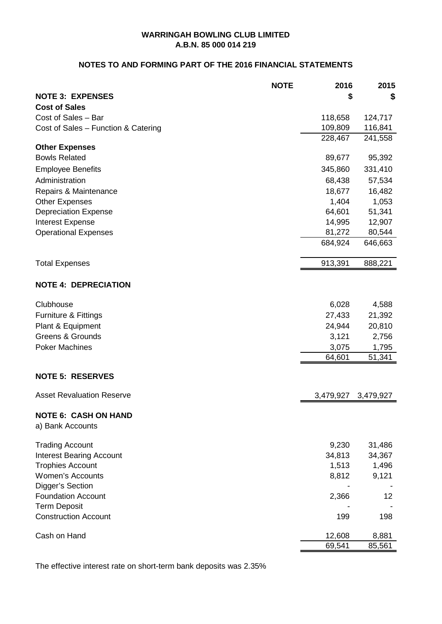#### **NOTES TO AND FORMING PART OF THE 2016 FINANCIAL STATEMENTS**

|                                                 | <b>NOTE</b> | 2016      | 2015      |
|-------------------------------------------------|-------------|-----------|-----------|
| <b>NOTE 3: EXPENSES</b>                         |             | S         | \$        |
| <b>Cost of Sales</b>                            |             |           |           |
| Cost of Sales - Bar                             |             | 118,658   | 124,717   |
| Cost of Sales - Function & Catering             |             | 109,809   | 116,841   |
|                                                 |             | 228,467   | 241,558   |
| <b>Other Expenses</b>                           |             |           |           |
| <b>Bowls Related</b>                            |             | 89,677    | 95,392    |
| <b>Employee Benefits</b>                        |             | 345,860   | 331,410   |
| Administration                                  |             | 68,438    | 57,534    |
| Repairs & Maintenance                           |             | 18,677    | 16,482    |
| <b>Other Expenses</b>                           |             | 1,404     | 1,053     |
| <b>Depreciation Expense</b>                     |             | 64,601    | 51,341    |
| Interest Expense                                |             | 14,995    | 12,907    |
| <b>Operational Expenses</b>                     |             | 81,272    | 80,544    |
|                                                 |             | 684,924   | 646,663   |
| <b>Total Expenses</b>                           |             | 913,391   | 888,221   |
| <b>NOTE 4: DEPRECIATION</b>                     |             |           |           |
| Clubhouse                                       |             | 6,028     | 4,588     |
| Furniture & Fittings                            |             | 27,433    | 21,392    |
| Plant & Equipment                               |             | 24,944    | 20,810    |
| <b>Greens &amp; Grounds</b>                     |             | 3,121     | 2,756     |
| <b>Poker Machines</b>                           |             | 3,075     | 1,795     |
|                                                 |             | 64,601    | 51,341    |
| <b>NOTE 5: RESERVES</b>                         |             |           |           |
| <b>Asset Revaluation Reserve</b>                |             | 3,479,927 | 3,479,927 |
| <b>NOTE 6: CASH ON HAND</b><br>a) Bank Accounts |             |           |           |
| <b>Trading Account</b>                          |             | 9,230     | 31,486    |
| <b>Interest Bearing Account</b>                 |             | 34,813    | 34,367    |
| <b>Trophies Account</b>                         |             | 1,513     | 1,496     |
| <b>Women's Accounts</b>                         |             | 8,812     | 9,121     |
| Digger's Section                                |             |           |           |
| <b>Foundation Account</b>                       |             | 2,366     | 12        |
| <b>Term Deposit</b>                             |             |           |           |
| <b>Construction Account</b>                     |             | 199       | 198       |
| Cash on Hand                                    |             | 12,608    | 8,881     |
|                                                 |             | 69,541    | 85,561    |

The effective interest rate on short-term bank deposits was 2.35%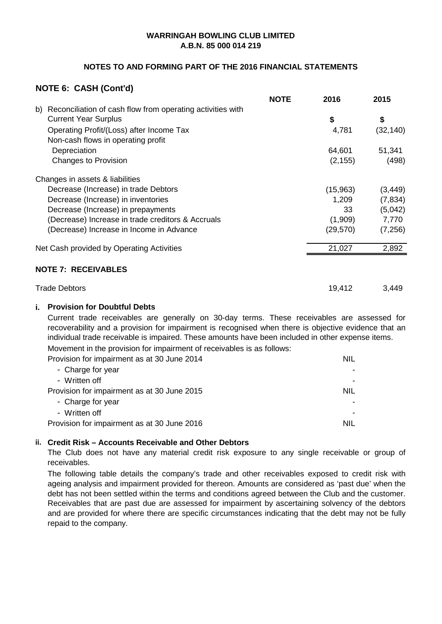#### **NOTES TO AND FORMING PART OF THE 2016 FINANCIAL STATEMENTS**

#### **NOTE 6: CASH (Cont'd)**

|                                                                  | <b>NOTE</b> | 2016      | 2015      |
|------------------------------------------------------------------|-------------|-----------|-----------|
| Reconciliation of cash flow from operating activities with<br>b) |             |           |           |
| <b>Current Year Surplus</b>                                      |             | \$        | \$        |
| Operating Profit/(Loss) after Income Tax                         |             | 4,781     | (32, 140) |
| Non-cash flows in operating profit                               |             |           |           |
| Depreciation                                                     |             | 64,601    | 51,341    |
| Changes to Provision                                             |             | (2, 155)  | (498)     |
| Changes in assets & liabilities                                  |             |           |           |
| Decrease (Increase) in trade Debtors                             |             | (15,963)  | (3, 449)  |
| Decrease (Increase) in inventories                               |             | 1,209     | (7, 834)  |
| Decrease (Increase) in prepayments                               |             | 33        | (5,042)   |
| (Decrease) Increase in trade creditors & Accruals                |             | (1,909)   | 7,770     |
| (Decrease) Increase in Income in Advance                         |             | (29, 570) | (7, 256)  |
| Net Cash provided by Operating Activities                        |             | 21,027    | 2,892     |
| <b>NOTE 7: RECEIVABLES</b>                                       |             |           |           |
| <b>Trade Debtors</b>                                             |             | 19,412    | 3,449     |
|                                                                  |             |           |           |

#### **i. Provision for Doubtful Debts**

Current trade receivables are generally on 30-day terms. These receivables are assessed for recoverability and a provision for impairment is recognised when there is objective evidence that an individual trade receivable is impaired. These amounts have been included in other expense items.

Movement in the provision for impairment of receivables is as follows:

| Provision for impairment as at 30 June 2014 | <b>NIL</b> |
|---------------------------------------------|------------|
| - Charge for year                           |            |
| - Written off                               |            |
| Provision for impairment as at 30 June 2015 | <b>NIL</b> |
| - Charge for year                           |            |
| - Written off                               |            |
| Provision for impairment as at 30 June 2016 | NIL        |
|                                             |            |

#### **ii. Credit Risk – Accounts Receivable and Other Debtors**

The Club does not have any material credit risk exposure to any single receivable or group of receivables.

The following table details the company's trade and other receivables exposed to credit risk with ageing analysis and impairment provided for thereon. Amounts are considered as 'past due' when the debt has not been settled within the terms and conditions agreed between the Club and the customer. Receivables that are past due are assessed for impairment by ascertaining solvency of the debtors and are provided for where there are specific circumstances indicating that the debt may not be fully repaid to the company.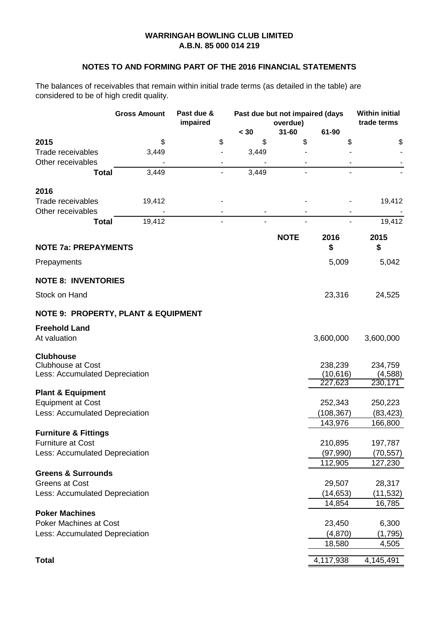#### **NOTES TO AND FORMING PART OF THE 2016 FINANCIAL STATEMENTS**

The balances of receivables that remain within initial trade terms (as detailed in the table) are considered to be of high credit quality.

|                                                | Past due &<br><b>Gross Amount</b><br>Past due but not impaired (days<br>impaired<br>overdue) |    |       | <b>Within initial</b><br>trade terms |                      |            |
|------------------------------------------------|----------------------------------------------------------------------------------------------|----|-------|--------------------------------------|----------------------|------------|
|                                                |                                                                                              |    | < 30  | $31 - 60$                            | 61-90                |            |
| 2015                                           | \$                                                                                           | \$ | \$    | \$                                   | \$                   | \$         |
| Trade receivables                              | 3,449                                                                                        |    | 3,449 |                                      |                      |            |
| Other receivables                              |                                                                                              |    |       |                                      |                      |            |
| <b>Total</b>                                   | 3,449                                                                                        |    | 3,449 |                                      |                      |            |
| 2016                                           |                                                                                              |    |       |                                      |                      |            |
| <b>Trade receivables</b>                       | 19,412                                                                                       |    |       |                                      |                      | 19,412     |
| Other receivables                              |                                                                                              |    | -     |                                      |                      |            |
| <b>Total</b>                                   | 19,412                                                                                       |    |       |                                      |                      | 19,412     |
| <b>NOTE 7a: PREPAYMENTS</b>                    |                                                                                              |    |       | <b>NOTE</b>                          | 2016<br>\$           | 2015<br>\$ |
|                                                |                                                                                              |    |       |                                      |                      |            |
| Prepayments                                    |                                                                                              |    |       |                                      | 5,009                | 5,042      |
| <b>NOTE 8: INVENTORIES</b>                     |                                                                                              |    |       |                                      |                      |            |
| Stock on Hand                                  |                                                                                              |    |       |                                      | 23,316               | 24,525     |
| <b>NOTE 9: PROPERTY, PLANT &amp; EQUIPMENT</b> |                                                                                              |    |       |                                      |                      |            |
| <b>Freehold Land</b>                           |                                                                                              |    |       |                                      |                      |            |
| At valuation                                   |                                                                                              |    |       |                                      | 3,600,000            | 3,600,000  |
| <b>Clubhouse</b>                               |                                                                                              |    |       |                                      |                      |            |
| <b>Clubhouse at Cost</b>                       |                                                                                              |    |       |                                      | 238,239              | 234,759    |
| Less: Accumulated Depreciation                 |                                                                                              |    |       |                                      | (10, 616)<br>227,623 | (4, 588)   |
| <b>Plant &amp; Equipment</b>                   |                                                                                              |    |       |                                      |                      | 230,171    |
| <b>Equipment at Cost</b>                       |                                                                                              |    |       |                                      | 252,343              | 250,223    |
| Less: Accumulated Depreciation                 |                                                                                              |    |       |                                      | (108, 367)           | (83, 423)  |
|                                                |                                                                                              |    |       |                                      | 143,976              | 166,800    |
| <b>Furniture &amp; Fittings</b>                |                                                                                              |    |       |                                      |                      |            |
| <b>Furniture at Cost</b>                       |                                                                                              |    |       |                                      | 210,895              | 197,787    |
| Less: Accumulated Depreciation                 |                                                                                              |    |       |                                      | (97, 990)            | (70, 557)  |
|                                                |                                                                                              |    |       |                                      | 112,905              | 127,230    |
| <b>Greens &amp; Surrounds</b>                  |                                                                                              |    |       |                                      |                      |            |
| <b>Greens at Cost</b>                          |                                                                                              |    |       |                                      | 29,507               | 28,317     |
| Less: Accumulated Depreciation                 |                                                                                              |    |       |                                      | (14, 653)            | (11,532)   |
|                                                |                                                                                              |    |       |                                      | 14,854               | 16,785     |
| <b>Poker Machines</b>                          |                                                                                              |    |       |                                      |                      |            |
| <b>Poker Machines at Cost</b>                  |                                                                                              |    |       |                                      | 23,450               | 6,300      |
| Less: Accumulated Depreciation                 |                                                                                              |    |       |                                      | (4,870)              | (1,795)    |
|                                                |                                                                                              |    |       |                                      | 18,580               | 4,505      |
| <b>Total</b>                                   |                                                                                              |    |       |                                      | 4,117,938            | 4,145,491  |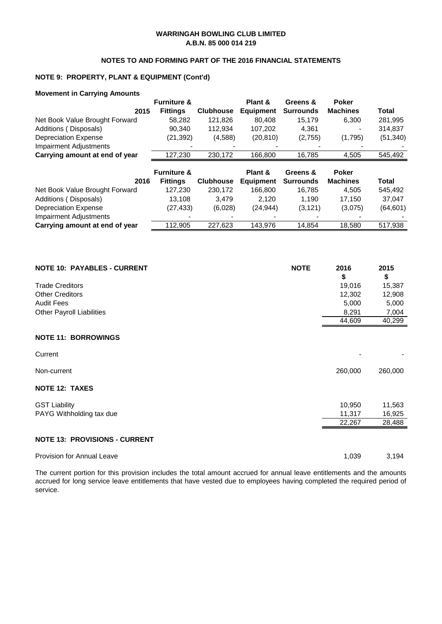#### **NOTES TO AND FORMING PART OF THE 2016 FINANCIAL STATEMENTS**

#### **NOTE 9: PROPERTY, PLANT & EQUIPMENT (Cont'd)**

#### **Movement in Carrying Amounts**

|                                | <b>Furniture &amp;</b> |                  | Plant &          | Greens &         | <b>Poker</b>    |           |
|--------------------------------|------------------------|------------------|------------------|------------------|-----------------|-----------|
| 2015                           | <b>Fittings</b>        | <b>Clubhouse</b> | <b>Equipment</b> | <b>Surrounds</b> | <b>Machines</b> | Total     |
| Net Book Value Brought Forward | 58,282                 | 121,826          | 80.408           | 15.179           | 6,300           | 281,995   |
| Additions (Disposals)          | 90.340                 | 112,934          | 107,202          | 4.361            |                 | 314.837   |
| <b>Depreciation Expense</b>    | (21,392)               | (4,588)          | (20, 810)        | (2,755)          | (1,795)         | (51, 340) |
| <b>Impairment Adjustments</b>  |                        |                  |                  |                  |                 |           |
| Carrying amount at end of year | 127,230                | 230,172          | 166,800          | 16,785           | 4,505           | 545,492   |
|                                |                        |                  |                  |                  |                 |           |
|                                |                        |                  |                  |                  |                 |           |
|                                | <b>Furniture &amp;</b> |                  | Plant &          | Greens &         | <b>Poker</b>    |           |
| 2016                           | <b>Fittings</b>        | <b>Clubhouse</b> | <b>Equipment</b> | <b>Surrounds</b> | <b>Machines</b> | Total     |
| Net Book Value Brought Forward | 127,230                | 230,172          | 166.800          | 16,785           | 4,505           | 545,492   |
| Additions (Disposals)          | 13.108                 | 3.479            | 2.120            | 1.190            | 17.150          | 37.047    |
| <b>Depreciation Expense</b>    | (27,433)               | (6,028)          | (24, 944)        | (3, 121)         | (3,075)         | (64, 601) |
| <b>Impairment Adjustments</b>  |                        |                  |                  |                  |                 |           |

| <b>NOTE 10: PAYABLES - CURRENT</b>   | <b>NOTE</b> | 2016    | 2015    |
|--------------------------------------|-------------|---------|---------|
|                                      |             | \$      | \$      |
| <b>Trade Creditors</b>               |             | 19,016  | 15,387  |
| <b>Other Creditors</b>               |             | 12,302  | 12,908  |
| <b>Audit Fees</b>                    |             | 5,000   | 5,000   |
| <b>Other Payroll Liabilities</b>     |             | 8,291   | 7,004   |
|                                      |             | 44,609  | 40,299  |
| <b>NOTE 11: BORROWINGS</b>           |             |         |         |
| Current                              |             |         |         |
| Non-current                          |             | 260,000 | 260,000 |
| <b>NOTE 12: TAXES</b>                |             |         |         |
| <b>GST Liability</b>                 |             | 10,950  | 11,563  |
| PAYG Withholding tax due             |             | 11,317  | 16,925  |
|                                      |             | 22,267  | 28,488  |
| <b>NOTE 13: PROVISIONS - CURRENT</b> |             |         |         |
| <b>Provision for Annual Leave</b>    |             | 1,039   | 3,194   |

The current portion for this provision includes the total amount accrued for annual leave entitlements and the amounts accrued for long service leave entitlements that have vested due to employees having completed the required period of service.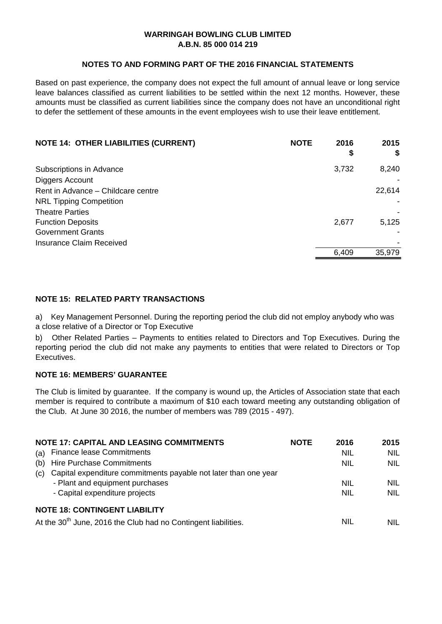#### **NOTES TO AND FORMING PART OF THE 2016 FINANCIAL STATEMENTS**

Based on past experience, the company does not expect the full amount of annual leave or long service leave balances classified as current liabilities to be settled within the next 12 months. However, these amounts must be classified as current liabilities since the company does not have an unconditional right to defer the settlement of these amounts in the event employees wish to use their leave entitlement.

| <b>NOTE 14: OTHER LIABILITIES (CURRENT)</b><br><b>NOTE</b> | 2016<br>\$ | 2015<br>S |
|------------------------------------------------------------|------------|-----------|
| Subscriptions in Advance                                   | 3,732      | 8,240     |
| Diggers Account                                            |            |           |
| Rent in Advance - Childcare centre                         |            | 22,614    |
| <b>NRL Tipping Competition</b>                             |            |           |
| <b>Theatre Parties</b>                                     |            |           |
| <b>Function Deposits</b>                                   | 2,677      | 5,125     |
| <b>Government Grants</b>                                   |            |           |
| <b>Insurance Claim Received</b>                            |            |           |
|                                                            | 6,409      | 35,979    |

#### **NOTE 15: RELATED PARTY TRANSACTIONS**

a) Key Management Personnel. During the reporting period the club did not employ anybody who was a close relative of a Director or Top Executive

b) Other Related Parties – Payments to entities related to Directors and Top Executives. During the reporting period the club did not make any payments to entities that were related to Directors or Top Executives.

#### **NOTE 16: MEMBERS' GUARANTEE**

The Club is limited by guarantee. If the company is wound up, the Articles of Association state that each member is required to contribute a maximum of \$10 each toward meeting any outstanding obligation of the Club. At June 30 2016, the number of members was 789 (2015 - 497).

|     | <b>NOTE 17: CAPITAL AND LEASING COMMITMENTS</b>                            | <b>NOTE</b> | 2016       | 2015       |
|-----|----------------------------------------------------------------------------|-------------|------------|------------|
| (a) | <b>Finance lease Commitments</b>                                           |             | <b>NIL</b> | <b>NIL</b> |
| (b) | <b>Hire Purchase Commitments</b>                                           |             | <b>NIL</b> | NIL.       |
| (c) | Capital expenditure commitments payable not later than one year            |             |            |            |
|     | - Plant and equipment purchases                                            |             | <b>NIL</b> | <b>NIL</b> |
|     | - Capital expenditure projects                                             |             | <b>NIL</b> | <b>NIL</b> |
|     | <b>NOTE 18: CONTINGENT LIABILITY</b>                                       |             |            |            |
|     | At the 30 <sup>th</sup> June, 2016 the Club had no Contingent liabilities. |             | NIL        | NIL        |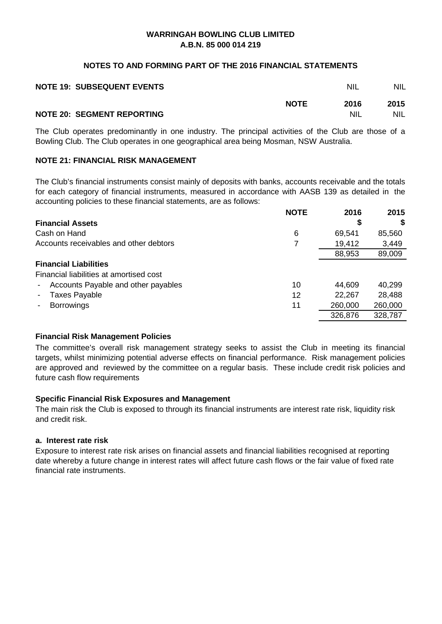#### **NOTES TO AND FORMING PART OF THE 2016 FINANCIAL STATEMENTS**

| <b>NOTE 19: SUBSEQUENT EVENTS</b> |             | NIL        | <b>NIL</b> |
|-----------------------------------|-------------|------------|------------|
|                                   | <b>NOTE</b> | 2016       | 2015       |
| <b>NOTE 20: SEGMENT REPORTING</b> |             | <b>NIL</b> | NIL        |

The Club operates predominantly in one industry. The principal activities of the Club are those of a Bowling Club. The Club operates in one geographical area being Mosman, NSW Australia.

#### **NOTE 21: FINANCIAL RISK MANAGEMENT**

The Club's financial instruments consist mainly of deposits with banks, accounts receivable and the totals for each category of financial instruments, measured in accordance with AASB 139 as detailed in the accounting policies to these financial statements, are as follows:

|                                               | <b>NOTE</b> | 2016    | 2015    |
|-----------------------------------------------|-------------|---------|---------|
| <b>Financial Assets</b>                       |             | S       | S       |
| Cash on Hand                                  | 6           | 69,541  | 85,560  |
| Accounts receivables and other debtors        | 7           | 19,412  | 3,449   |
|                                               |             | 88,953  | 89,009  |
| <b>Financial Liabilities</b>                  |             |         |         |
| Financial liabilities at amortised cost       |             |         |         |
| Accounts Payable and other payables<br>$\sim$ | 10          | 44,609  | 40,299  |
| <b>Taxes Payable</b><br>$\blacksquare$        | 12          | 22,267  | 28,488  |
| <b>Borrowings</b>                             | 11          | 260,000 | 260,000 |
|                                               |             | 326,876 | 328,787 |

#### **Financial Risk Management Policies**

The committee's overall risk management strategy seeks to assist the Club in meeting its financial targets, whilst minimizing potential adverse effects on financial performance. Risk management policies are approved and reviewed by the committee on a regular basis. These include credit risk policies and future cash flow requirements

#### **Specific Financial Risk Exposures and Management**

The main risk the Club is exposed to through its financial instruments are interest rate risk, liquidity risk and credit risk.

#### **a. Interest rate risk**

Exposure to interest rate risk arises on financial assets and financial liabilities recognised at reporting date whereby a future change in interest rates will affect future cash flows or the fair value of fixed rate financial rate instruments.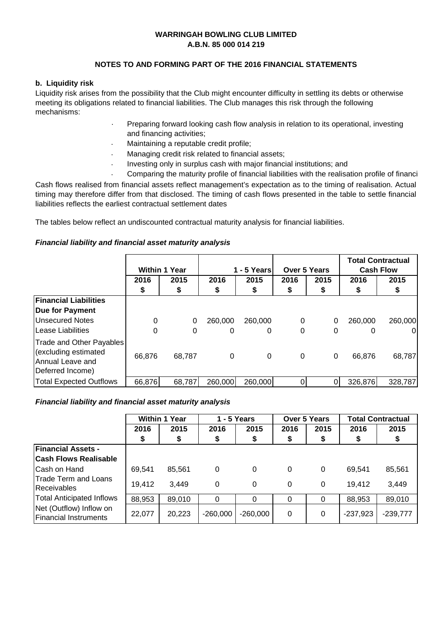#### **NOTES TO AND FORMING PART OF THE 2016 FINANCIAL STATEMENTS**

#### **b. Liquidity risk**

Liquidity risk arises from the possibility that the Club might encounter difficulty in settling its debts or otherwise meeting its obligations related to financial liabilities. The Club manages this risk through the following mechanisms:

- · Preparing forward looking cash flow analysis in relation to its operational, investing and financing activities;
- · Maintaining a reputable credit profile;
- · Managing credit risk related to financial assets;
- · Investing only in surplus cash with major financial institutions; and
- · Comparing the maturity profile of financial liabilities with the realisation profile of financi

Cash flows realised from financial assets reflect management's expectation as to the timing of realisation. Actual timing may therefore differ from that disclosed. The timing of cash flows presented in the table to settle financial liabilities reflects the earliest contractual settlement dates

The tables below reflect an undiscounted contractual maturity analysis for financial liabilities.

#### *Financial liability and financial asset maturity analysis*

|                                                                                          |          | <b>Within 1 Year</b> |          | 1 - 5 Years | <b>Over 5 Years</b> |      |         | <b>Total Contractual</b><br><b>Cash Flow</b> |
|------------------------------------------------------------------------------------------|----------|----------------------|----------|-------------|---------------------|------|---------|----------------------------------------------|
|                                                                                          | 2016     | 2015                 | 2016     | 2015        | 2016                | 2015 | 2016    | 2015                                         |
|                                                                                          | \$       | \$                   | \$       | \$          | \$                  | \$   |         | \$                                           |
| <b>Financial Liabilities</b>                                                             |          |                      |          |             |                     |      |         |                                              |
| Due for Payment                                                                          |          |                      |          |             |                     |      |         |                                              |
| <b>Unsecured Notes</b>                                                                   | 0        | $\Omega$             | 260,000  | 260,000     | 0                   | 0    | 260,000 | 260,000                                      |
| <b>Lease Liabilities</b>                                                                 | $\Omega$ | $\Omega$             | $\Omega$ | 0           | 0                   | 0    | 0       | 01                                           |
| Trade and Other Payables<br>(excluding estimated<br>Annual Leave and<br>Deferred Income) | 66,876   | 68,787               | 0        | $\Omega$    | 0                   | 0    | 66,876  | 68,787                                       |
| <b>Total Expected Outflows</b>                                                           | 66,876   | 68,787               | 260,000  | 260,000     | $\Omega$            |      | 326,876 | 328,787                                      |

#### *Financial liability and financial asset maturity analysis*

|                                                         |        | <b>Within 1 Year</b> |            | $1 - 5$ Years<br><b>Over 5 Years</b> |              | <b>Total Contractual</b> |            |            |
|---------------------------------------------------------|--------|----------------------|------------|--------------------------------------|--------------|--------------------------|------------|------------|
|                                                         | 2016   | 2015                 | 2016       | 2015                                 | 2016         | 2015                     | 2016       | 2015       |
|                                                         | \$     | \$                   | \$         | \$                                   | \$           | \$                       | \$         | \$         |
| <b>Financial Assets -</b>                               |        |                      |            |                                      |              |                          |            |            |
| <b>Cash Flows Realisable</b>                            |        |                      |            |                                      |              |                          |            |            |
| Cash on Hand                                            | 69,541 | 85,561               | 0          | $\Omega$                             | $\mathbf{0}$ | 0                        | 69.541     | 85,561     |
| Trade Term and Loans<br>Receivables                     | 19,412 | 3,449                | $\Omega$   | $\Omega$                             | $\Omega$     | 0                        | 19,412     | 3,449      |
| <b>Total Anticipated Inflows</b>                        | 88,953 | 89,010               | $\Omega$   | $\Omega$                             | 0            | 0                        | 88,953     | 89,010     |
| Net (Outflow) Inflow on<br><b>Financial Instruments</b> | 22,077 | 20,223               | $-260,000$ | $-260,000$                           | 0            | 0                        | $-237,923$ | $-239,777$ |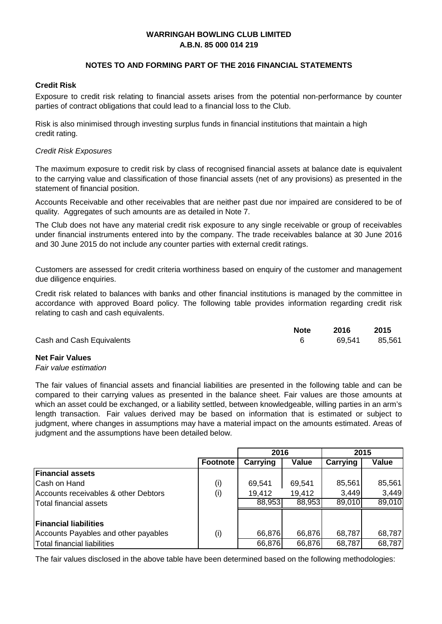#### **NOTES TO AND FORMING PART OF THE 2016 FINANCIAL STATEMENTS**

#### **Credit Risk**

Exposure to credit risk relating to financial assets arises from the potential non-performance by counter parties of contract obligations that could lead to a financial loss to the Club.

Risk is also minimised through investing surplus funds in financial institutions that maintain a high credit rating.

#### *Credit Risk Exposures*

The maximum exposure to credit risk by class of recognised financial assets at balance date is equivalent to the carrying value and classification of those financial assets (net of any provisions) as presented in the statement of financial position.

Accounts Receivable and other receivables that are neither past due nor impaired are considered to be of quality. Aggregates of such amounts are as detailed in Note 7.

The Club does not have any material credit risk exposure to any single receivable or group of receivables under financial instruments entered into by the company. The trade receivables balance at 30 June 2016 and 30 June 2015 do not include any counter parties with external credit ratings.

Customers are assessed for credit criteria worthiness based on enquiry of the customer and management due diligence enquiries.

Credit risk related to balances with banks and other financial institutions is managed by the committee in accordance with approved Board policy. The following table provides information regarding credit risk relating to cash and cash equivalents.

|                           | <b>Note</b> | 2016          | 2015 |
|---------------------------|-------------|---------------|------|
| Cash and Cash Equivalents |             | 69,541 85,561 |      |
|                           |             |               |      |

#### **Net Fair Values**

#### *Fair value estimation*

The fair values of financial assets and financial liabilities are presented in the following table and can be compared to their carrying values as presented in the balance sheet. Fair values are those amounts at which an asset could be exchanged, or a liability settled, between knowledgeable, willing parties in an arm's length transaction. Fair values derived may be based on information that is estimated or subject to judgment, where changes in assumptions may have a material impact on the amounts estimated. Areas of judgment and the assumptions have been detailed below.

|                                      |                 | 2016     |        |          | 2015   |
|--------------------------------------|-----------------|----------|--------|----------|--------|
|                                      | <b>Footnote</b> | Carrying | Value  | Carrying | Value  |
| <b>Financial assets</b>              |                 |          |        |          |        |
| Cash on Hand                         | (i)             | 69,541   | 69,541 | 85,561   | 85,561 |
| Accounts receivables & other Debtors | (i)             | 19,412   | 19,412 | 3,449    | 3,449  |
| <b>Total financial assets</b>        |                 | 88,953   | 88,953 | 89,010   | 89,010 |
|                                      |                 |          |        |          |        |
| <b>Financial liabilities</b>         |                 |          |        |          |        |
| Accounts Payables and other payables | (i)             | 66,876   | 66,876 | 68,787   | 68,787 |
| Total financial liabilities          |                 | 66,876   | 66,876 | 68,787   | 68,787 |

The fair values disclosed in the above table have been determined based on the following methodologies: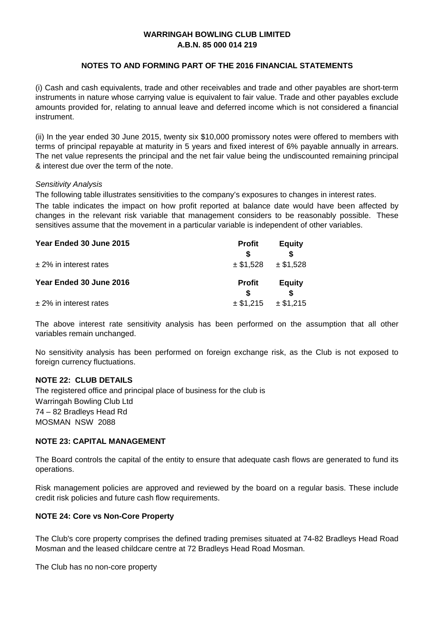#### **NOTES TO AND FORMING PART OF THE 2016 FINANCIAL STATEMENTS**

(i) Cash and cash equivalents, trade and other receivables and trade and other payables are short-term instruments in nature whose carrying value is equivalent to fair value. Trade and other payables exclude amounts provided for, relating to annual leave and deferred income which is not considered a financial instrument.

(ii) In the year ended 30 June 2015, twenty six \$10,000 promissory notes were offered to members with terms of principal repayable at maturity in 5 years and fixed interest of 6% payable annually in arrears. The net value represents the principal and the net fair value being the undiscounted remaining principal & interest due over the term of the note.

#### *Sensitivity Analysis*

The following table illustrates sensitivities to the company's exposures to changes in interest rates.

The table indicates the impact on how profit reported at balance date would have been affected by changes in the relevant risk variable that management considers to be reasonably possible. These sensitives assume that the movement in a particular variable is independent of other variables.

| Year Ended 30 June 2015   | <b>Profit</b> | <b>Equity</b> |  |
|---------------------------|---------------|---------------|--|
|                           |               |               |  |
| $± 2\%$ in interest rates | $±$ \$1,528   | $±$ \$1,528   |  |
| Year Ended 30 June 2016   | <b>Profit</b> | <b>Equity</b> |  |
| $±$ 2% in interest rates  | $±$ \$1,215   | $±$ \$1,215   |  |

The above interest rate sensitivity analysis has been performed on the assumption that all other variables remain unchanged.

No sensitivity analysis has been performed on foreign exchange risk, as the Club is not exposed to foreign currency fluctuations.

#### **NOTE 22: CLUB DETAILS**

Warringah Bowling Club Ltd 74 – 82 Bradleys Head Rd MOSMAN NSW 2088 The registered office and principal place of business for the club is

#### **NOTE 23: CAPITAL MANAGEMENT**

The Board controls the capital of the entity to ensure that adequate cash flows are generated to fund its operations.

Risk management policies are approved and reviewed by the board on a regular basis. These include credit risk policies and future cash flow requirements.

#### **NOTE 24: Core vs Non-Core Property**

The Club's core property comprises the defined trading premises situated at 74-82 Bradleys Head Road Mosman and the leased childcare centre at 72 Bradleys Head Road Mosman.

The Club has no non-core property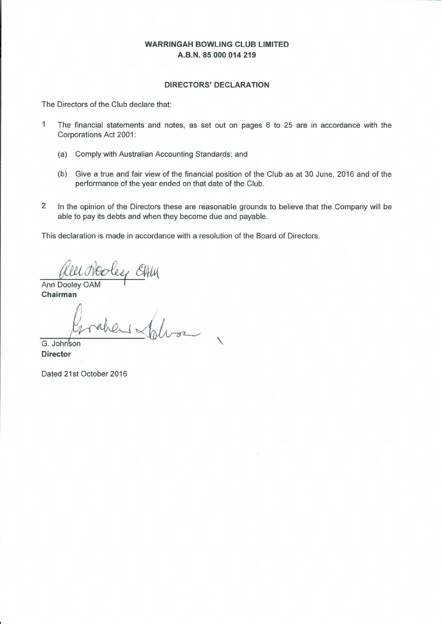#### **DIRECTORS' DECLARATION**

The Directors of the Club declare that:

- $\overline{1}$ The financial statements and notes, as set out on pages 6 to 25 are in accordance with the Corporations Act 2001:
	- (a) Comply with Australian Accounting Standards; and
	- (b) Give a true and fair view of the financial position of the Club as at 30 June, 2016 and of the performance of the year ended on that date of the Club.
- $\overline{2}$ In the opinion of the Directors these are reasonable grounds to believe that the Company will be able to pay its debts and when they become due and payable.

This declaration is made in accordance with a resolution of the Board of Directors.

GALU

Ann Dooley OAM Chairman

G. Johnson **Director** 

Dated 21st October 2016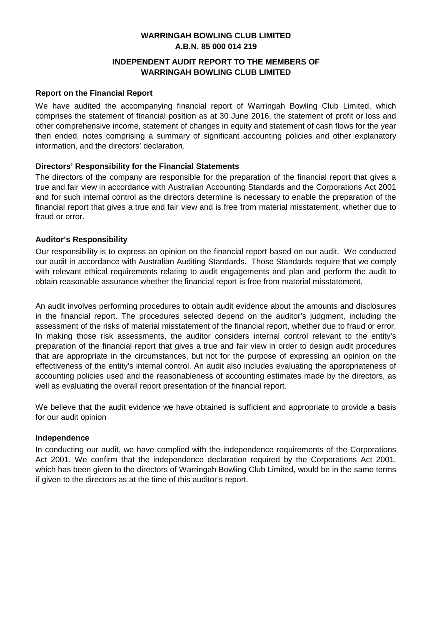#### **INDEPENDENT AUDIT REPORT TO THE MEMBERS OF WARRINGAH BOWLING CLUB LIMITED**

#### **Report on the Financial Report**

We have audited the accompanying financial report of Warringah Bowling Club Limited, which comprises the statement of financial position as at 30 June 2016, the statement of profit or loss and other comprehensive income, statement of changes in equity and statement of cash flows for the year then ended, notes comprising a summary of significant accounting policies and other explanatory information, and the directors' declaration.

#### **Directors' Responsibility for the Financial Statements**

The directors of the company are responsible for the preparation of the financial report that gives a true and fair view in accordance with Australian Accounting Standards and the Corporations Act 2001 and for such internal control as the directors determine is necessary to enable the preparation of the financial report that gives a true and fair view and is free from material misstatement, whether due to fraud or error.

#### **Auditor's Responsibility**

Our responsibility is to express an opinion on the financial report based on our audit. We conducted our audit in accordance with Australian Auditing Standards. Those Standards require that we comply with relevant ethical requirements relating to audit engagements and plan and perform the audit to obtain reasonable assurance whether the financial report is free from material misstatement.

An audit involves performing procedures to obtain audit evidence about the amounts and disclosures in the financial report. The procedures selected depend on the auditor's judgment, including the assessment of the risks of material misstatement of the financial report, whether due to fraud or error. In making those risk assessments, the auditor considers internal control relevant to the entity's preparation of the financial report that gives a true and fair view in order to design audit procedures that are appropriate in the circumstances, but not for the purpose of expressing an opinion on the effectiveness of the entity's internal control. An audit also includes evaluating the appropriateness of accounting policies used and the reasonableness of accounting estimates made by the directors, as well as evaluating the overall report presentation of the financial report.

We believe that the audit evidence we have obtained is sufficient and appropriate to provide a basis for our audit opinion

#### **Independence**

In conducting our audit, we have complied with the independence requirements of the Corporations Act 2001. We confirm that the independence declaration required by the Corporations Act 2001, which has been given to the directors of Warringah Bowling Club Limited, would be in the same terms if given to the directors as at the time of this auditor's report.